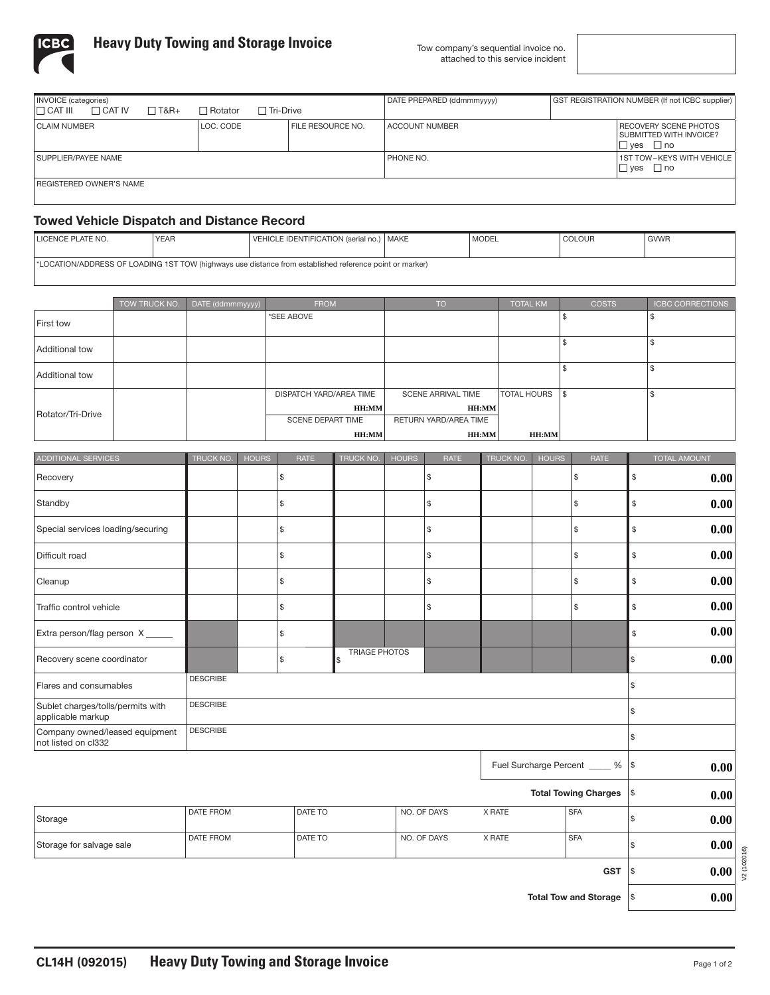## **ICBC**

## **Heavy Duty Towing and Storage Invoice** Tow company's sequential invoice no.

attached to this service incident

| INVOICE (categories)       |                         |             |           |                  |                          | DATE PREPARED (ddmmmyyyy) | GST REGISTRATION NUMBER (If not ICBC supplier)                                  |
|----------------------------|-------------------------|-------------|-----------|------------------|--------------------------|---------------------------|---------------------------------------------------------------------------------|
| $\Box$ CAT $\Box$          | $\Box$ CAT IV           | $\Box$ T&R+ | □ Rotator | $\Box$ Tri-Drive |                          |                           |                                                                                 |
| <b>CLAIM NUMBER</b>        |                         |             | LOC. CODE |                  | <b>FILE RESOURCE NO.</b> | <b>ACCOUNT NUMBER</b>     | <b>RECOVERY SCENE PHOTOS</b><br>SUBMITTED WITH INVOICE?<br>$\Box$ yes $\Box$ no |
| <b>SUPPLIER/PAYEE NAME</b> |                         |             |           |                  |                          | PHONE NO.                 | 1ST TOW-KEYS WITH VEHICLE<br>$\Box$ no<br>$\Box$ yes                            |
|                            | REGISTERED OWNER'S NAME |             |           |                  |                          |                           |                                                                                 |

## **Towed Vehicle Dispatch and Distance Record**

| I LICENCE PLATE NO. | <b>YEAR</b>                                                                                             | VEHICLE IDENTIFICATION (serial no.)   MAKE |  | <b>MODEL</b> | <b>COLOUR</b> | l GVWR |  |  |  |
|---------------------|---------------------------------------------------------------------------------------------------------|--------------------------------------------|--|--------------|---------------|--------|--|--|--|
|                     | *LOCATION/ADDRESS OF LOADING 1ST TOW (highways use distance from established reference point or marker) |                                            |  |              |               |        |  |  |  |
|                     |                                                                                                         |                                            |  |              |               |        |  |  |  |

|                   | TOW TRUCK NO. | DATE (ddmmmyyyy) | <b>FROM</b>              | <b>TO</b>                 | <b>TOTAL KM</b>    | <b>COSTS</b> | <b>ICBC CORRECTIONS</b> |
|-------------------|---------------|------------------|--------------------------|---------------------------|--------------------|--------------|-------------------------|
| First tow         |               |                  | *SEE ABOVE               |                           |                    |              |                         |
| Additional tow    |               |                  |                          |                           |                    |              |                         |
| Additional tow    |               |                  |                          |                           |                    |              |                         |
|                   |               |                  | DISPATCH YARD/AREA TIME  | <b>SCENE ARRIVAL TIME</b> | <b>TOTAL HOURS</b> | 1\$          | $\triangle$             |
| Rotator/Tri-Drive |               |                  | HH:MM                    | HH:MM                     |                    |              |                         |
|                   |               |                  | <b>SCENE DEPART TIME</b> | RETURN YARD/AREA TIME     |                    |              |                         |
|                   |               |                  | HH:MM                    | HH:MM                     | HH:MM              |              |                         |
|                   |               |                  |                          |                           |                    |              |                         |

| <b>ADDITIONAL SERVICES</b>                             | TRUCK NO.       | <b>HOURS</b> | <b>RATE</b> | TRUCK NO.     | <b>HOURS</b> | <b>RATE</b> | <b>TRUCK NO.</b> | <b>HOURS</b> | <b>RATE</b>                        |    | <b>TOTAL AMOUNT</b> |
|--------------------------------------------------------|-----------------|--------------|-------------|---------------|--------------|-------------|------------------|--------------|------------------------------------|----|---------------------|
| Recovery                                               |                 |              | \$          |               |              | \$          |                  |              | \$                                 | \$ | 0.00                |
| Standby                                                |                 |              | \$          |               |              | \$          |                  |              | \$                                 | \$ | 0.00                |
| Special services loading/securing                      |                 |              | \$          |               |              | \$          |                  |              | \$                                 | \$ | 0.00                |
| Difficult road                                         |                 |              | \$          |               |              | \$          |                  |              | \$                                 | \$ | 0.00                |
| Cleanup                                                |                 |              | \$          |               |              | \$          |                  |              | \$                                 | \$ | 0.00                |
| Traffic control vehicle                                |                 |              | \$          |               |              | \$          |                  |              | \$                                 | \$ | 0.00                |
| Extra person/flag person X                             |                 |              | \$          |               |              |             |                  |              |                                    | \$ | 0.00                |
| Recovery scene coordinator                             |                 |              | \$          | TRIAGE PHOTOS |              |             |                  |              |                                    | \$ | 0.00                |
| Flares and consumables                                 | <b>DESCRIBE</b> |              |             |               |              |             |                  |              |                                    | \$ |                     |
| Sublet charges/tolls/permits with<br>applicable markup | <b>DESCRIBE</b> |              |             |               |              |             |                  |              |                                    | \$ |                     |
| Company owned/leased equipment<br>not listed on cl332  | <b>DESCRIBE</b> |              |             |               |              |             |                  |              |                                    | \$ |                     |
|                                                        |                 |              |             |               |              |             |                  |              | Fuel Surcharge Percent _____ %  \$ |    | 0.00                |
|                                                        |                 |              |             |               |              |             |                  |              | <b>Total Towing Charges</b>        | \$ | 0.00                |
| Storage                                                | DATE FROM       |              | DATE TO     |               |              | NO. OF DAYS | X RATE           |              | <b>SFA</b>                         | \$ | 0.00                |

| owago                    |           |         |             |        |                            | $\mathbf{v} \cdot \mathbf{v}$ |                  |
|--------------------------|-----------|---------|-------------|--------|----------------------------|-------------------------------|------------------|
| Storage for salvage sale | DATE FROM | DATE TO | NO. OF DAYS | X RATE | <b>SFA</b>                 | 0.00                          | ි                |
|                          |           |         |             |        | <b>GST</b>                 | 0.00                          | 8<br>≂<br>$\sim$ |
|                          |           |         |             |        | Total Tow and Storage   \$ | 0.00                          |                  |